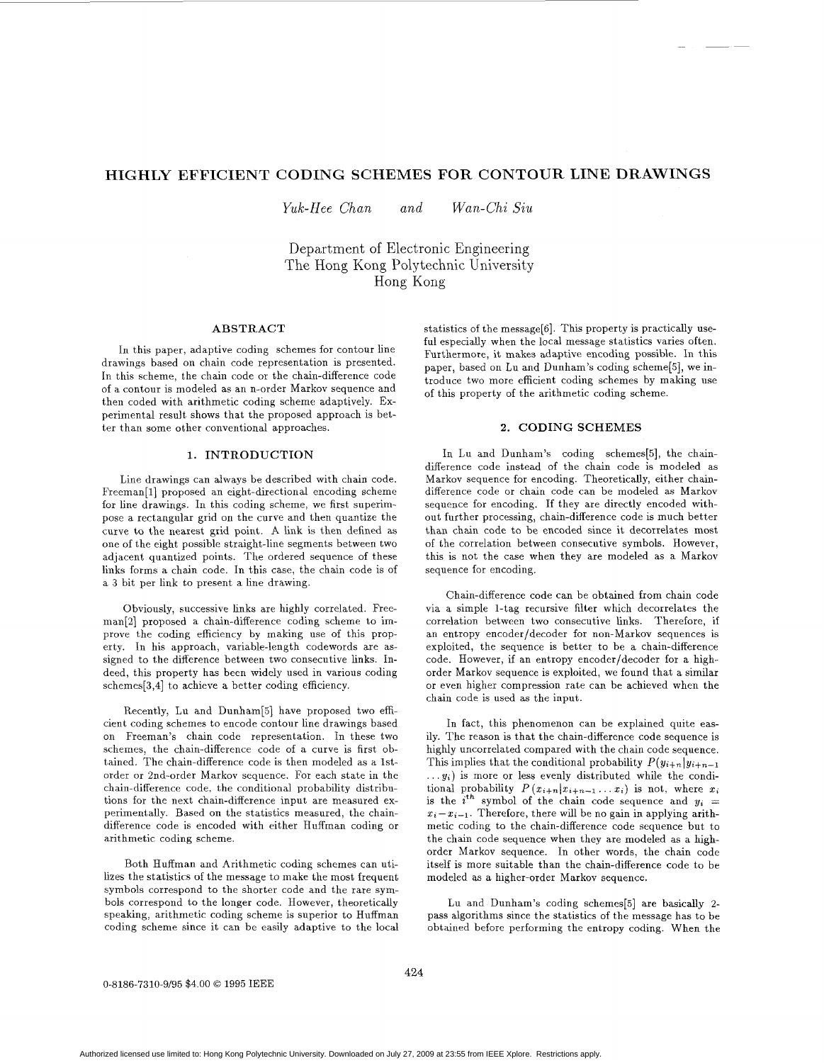# **HIGHLY EFFICIENT CODING SCHEMES FOR CONTOUR LINE DRAWINGS**

*Yuk-Hee Chan and Wan-Chi Siu* 

Department of Electronic Engineering The Hong Kong Polytechnic University Hong Kong

## **ABSTRACT**

In this paper, adaptive coding schemes for contour line drawings based on chain code representation is presented. In this scheme, the chain code or the chain-difference code of **a** contour is modeled as an n-order Markov sequence and then coded with arithmetic coding scheme adaptively. Experimental result shows that the proposed approach is better than some other conventional approaches.

# **1. INTRODUCTION**

Line drawings can always be described with chain code. Freeman[l] proposed an eight-directional encoding scheme for line drawings. In this coding scheme, we first superimpose **a** rectangular grid on the curve and then quantize the curve to the nearest grid point. **A** link is then defined as one of the eight possible straight-line segments between two adjacent quantized points. The ordered sequence of these links forms **a** chain code. In this case, the chain code is of **a** *3* bit per link to present a line drawing.

Obviously, successive links are highly correlated. Freeman[2] proposed **a** chain-difference coding scheme to improve the coding efficiency by making use of this property. In his approach, variable-length codewords are assigned to the difference between two consecutive links. Indeed, this property has been widely used in various coding schemes[3,4] to achieve **a** better coding efficiency.

Recently, Lu and Dunham[5] have proposed two efficient coding schemes to encode contour line drawings based on Freeman's chain code representation. In these two schemes, the chain-difference code of **a** curve is first obtained. The chain-difference code is then modeled as **a** 1storder or 2nd-order Markov sequence. For each state in the chain-difference code, the conditional probability distributions for the next chain-difference input are measured experimentally. Based on the statistics measured, the chaindifference code is encoded with either Huffman coding or arithmetic coding scheme.

Both Huffman and Arithmetic coding schemes can utilizes the statistics of the message to make the most frequent symbols correspond to the shorter code and the rare symbols correspond to the longer code. However, theoretically speaking, arithmetic coding scheme is superior to Huffman coding scheme since it can be easily adaptive to the local statistics of the message[6]. This property is practically useful especially when the local message statistics varies often. Furthermore, it makes adaptive encoding possible. In this paper, based on Lu and Dunham's coding scheme[5], we introduce two more efficient coding schemes by making use of this property of the arithmetic coding scheme.

# **2. CODING** SCHEMES

In Lu and Dunham's coding schemes[5], the chaindifference code instead of the chain code is modeled as Markov sequence for encoding. Theoretically, either chaindifference code or chain code can be modeled as Markov sequence for encoding. If they are directly encoded without further processing, chain-difference code is much better than chain code to be encoded since it decorrelates most of the correlation between consecutive symbols. However, this is not the case when they are modeled as a Markov sequence for encoding.

Chain-difference code can be obtained from chain code via a simple 1-tag recursive filter which decorrelates the correlation between two consecutive links. Therefore, if an entropy encoder/decoder for non-Markov sequences is exploited, the sequence is better to be **a** chain-difference code. However, if an entropy encoder/decoder for **a** highorder Markov sequence is exploited, we found that **a** similar or even higher compression rate can be achieved when the chain code is used as the input.

In fact, this phenomenon can be explained quite easily. The reason is that the chain-difference code sequence is highly uncorrelated compared with the chain code sequence. This implies that the conditional probability  $P(y_{i+n}|y_{i+n-1})$  $\dots y_i$ ) is more or less evenly distributed while the conditional probability  $P(x_{i+n}|x_{i+n-1}...x_i)$  is not, where  $x_i$ is the  $i^{th}$  symbol of the chain code sequence and  $y_i =$  $x_i-x_{i-1}$ . Therefore, there will be no gain in applying arithmetic coding to the chain-difference code sequence but to the chain code sequence when they are modeled as **a** highorder Markov sequence. In other words, the chain code itself is more suitable than the chain-difference code to be modeled *BS* a higher-order Markov sequence.

Lu and Dunham's coding schemes[5] **are** basically 2 pass algorithms since the statistics of the message has to be obtained before performing the entropy coding. When the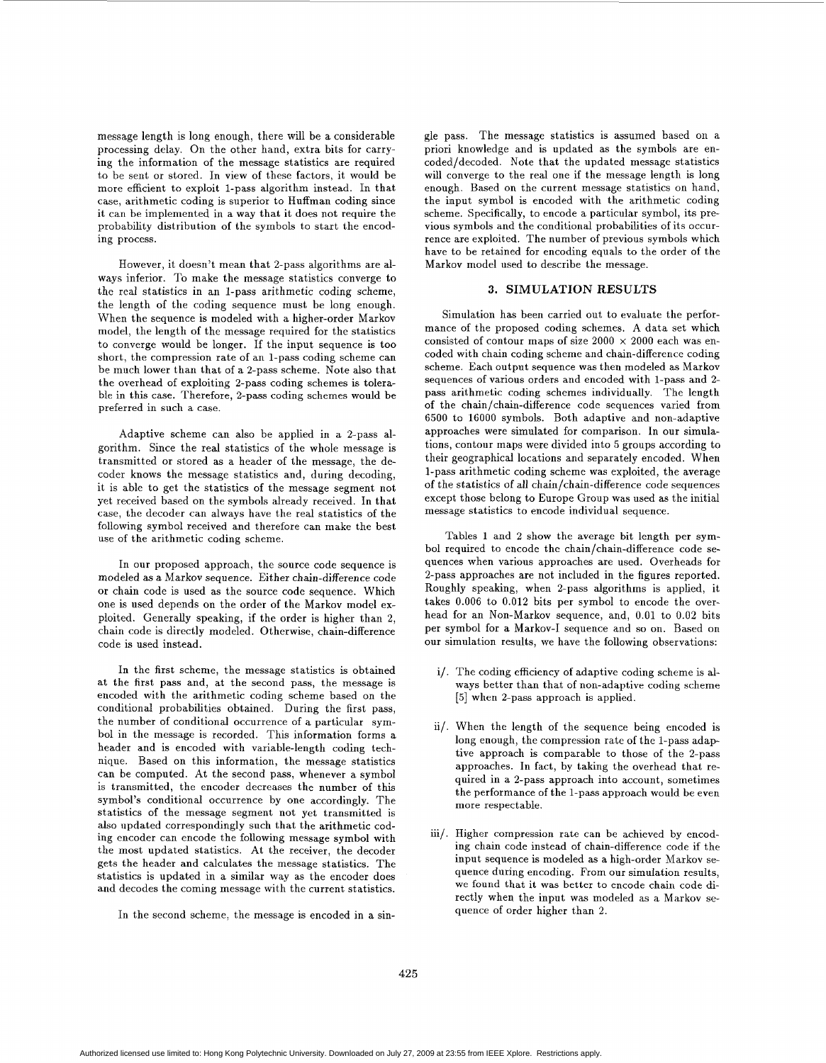message length is long enough, there will be a considerable processing delay. On the other hand, extra bits for carrying the information of the message statistics are required to be sent or stored. In view of these factors, it would be more efficient to exploit 1-pass algorithm instead. In that case, arithmetic coding is superior to Huffman coding since it can be implemented in a way that it does not require the probability distribution of the symbols to start the encoding process.

However, it doesn't mean that 2-pass algorithms are always inferior. To make the message statistics converge to the real statistics in an 1-pass arithmetic coding scheme, the length of the coding sequence must be long enough. When the sequence is modeled with a higher-order Markov model, the length of the message required for the statistics to converge wonld be longer. If the input sequence is too short, the compression rate of an 1-pass coding scheme can be much lower than that of a 2-pass scheme. Note also that the overhead of exploiting 2-pass coding schemes is tolerable in this case. Therefore, 2-pass coding schemes would be preferred in such a case.

Adaptive scheme can also be applied in a 2-pass algorithm. Since the real statistics of the whole message is transmitted or stored as a header of the message, the decoder knows the message statistics and, during decoding, it is able to get the statistics of the message segment not yet received based on the symbols already received. In that case, the decoder can always have the real statistics of the following symbol received and therefore can make the best use of the arithmetic coding scheme.

In our proposed approach, the source code sequence is modeled as a Markov sequence. Either chain-difference code or chain code is used as the source code sequence. Which one is used depends on the order of the Markov model exploited. Generally speaking, if the order is higher than *2,*  chain code is directly modeled. Otherwise, chain-difference code is used instead.

In the first scheme, the message statistics is obtained at the first pass and, at the second pass, the message is encoded with the arithmetic coding scheme based on the conditional probabilities obtained. During the first pass, the number of conditional occurrence of a particular symbol in the message is recorded. This information forms a header and is encoded with variable-length coding technique. Based on this information, the message statistics can be computed. At the second pass, whenever a symbol is transmitted, the encoder decreases the number of this symbol's conditional occurrence by one accordingly. The statistics of the message segment not yet transmitted is also updated correspondingly such that the arithmetic coding encoder can encode the following message symbol with the most updated statistics. At the receiver, the decoder gets the header and calculates the message statistics. The statistics is updated in a similar way as the encoder does and decodes the coming message with the current statistics.

In the second scheme, the message is encoded in a sin-

gle pass. The message statistics is assumed based on a priori knowledge and is updated as the symbols are encoded/decoded. Note that the updated message statistics will converge to the real one if the message length is long enough. Based on the current message statistics on hand, the input symbol is encoded with the arithmetic coding scheme. Specifically, to encode a particular symbol, its previous symbols and the conditional probabilities of its occurrence are exploited. The number of previous symbols which have to be retained for encoding equals to the order of the Markov model used to describe the message.

#### **3. SIMULATION RESULTS**

Simulation has been carried out to evaluate the performance of the proposed coding schemes. **A** data set which consisted of contour maps of size  $2000 \times 2000$  each was encoded with chain coding scheme and chain-difference coding scheme. Each output sequence was then modeled as Markov sequences of various orders and encoded with 1-pass and 2 pass arithmetic coding schemes individually. The length of the chain/chain-difference code sequences varied from 6500 to 16000 symbols. Both adaptive and non-adaptive approaches were simulated for comparison. In our simulations, contour maps were divided into *5* groups according to their geographical locations and separately encoded. When 1-pass arithmetic coding scheme was exploited, the average of the statistics of all chain/chain-difference code sequences except those belong to Europe Group was used as the initial message statistics to encode individual sequence.

Tables **1** and 2 show the average bit length per symbol required to encode the chain/chain-difference code sequences when various approaches are used. Overheads for 2-pass approaches are not included in the figures reported. Roughly speaking, when 2-pass algorithms is applied, it takes 0.006 to 0.012 bits per symbol to encode the overhead for an Non-Markov sequence, and, 0.01 to 0.02 bits per symbol for a Markov-I sequence and so on. Based on our simulation results, we have the following observations:

- i/. The coding efficiency of adaptive coding scheme is always better than that of non-adaptive coding scheme *[5]* when 2-pass approach is applied.
- **ii/.** When the length of the sequence being encoded is long enough, the compression rate of the 1-pass adaptive approach is comparable to those of the 2-pass approaches. In fact, by taking the overhead that required in a 2-pass approach into account, sometimes the performance of the 1-pass approach would be even more respectable.
- iii/. Higher compression rate can be achieved by encoding chain code instead of chain-difference code if the input sequence is modeled as a high-order Markov sequence during encoding. From our simulation results, we found that it was better to encode chain code directly when the input was modeled as a Markov sequence of order higher than 2.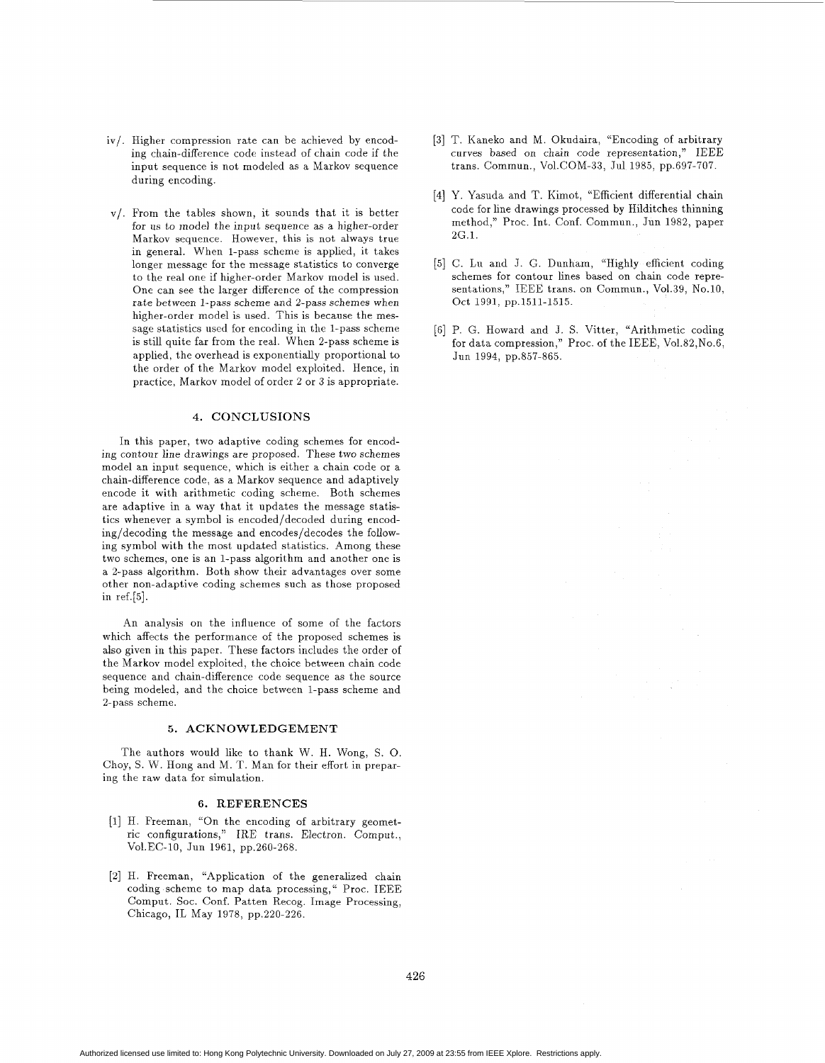- iv/. Higher compression rate can be achieved by encoding chain-difference code instead of chain code if the input sequence is not modeled as a Markov sequence during encoding.
- v/. From the tables shown, it sounds that it is better for us to model the input sequence as a higher-order Markov sequence. However, this is not always true in general. When 1-pass scheme is applied, it takes longer message for the message statistics to converge to the real one if higher-order Markov model is used. One can see the larger difference of the compression rate between 1-pass scheme and 2-pass schemes when higher-order model is used. This is because the message statistics used for encoding in the 1-pass scheme is still quite far from the real. When 2-pass scheme is applied, the overhead is exponentially proportional to the order of the Markov model exploited. Hence, in practice, Markov model of order 2 or 3 is appropriate.

## **4.** CONCLUSIONS

In this paper, two adaptive coding schemes for encoding contour line drawings are proposed. These two schemes model an input sequence, which is either a chain code or a chain-difference code, as a Markov sequence and adaptively encode it with arithmetic coding scheme. Both schemes are adaptive in a way that it updates the message statistics whenever a symbol is encoded/decoded during encoding/decoding the message and encodes/decodes the following symbol with the most updated statistics. Among these two schemes, one is an 1-pass algorithm and another one is a 2-pass algorithm. Both show their advantages over some other non-adaptive coding schemes such as those proposed in ref.[5].

An analysis on the influence of some of the factors which affects the performance of the proposed schemes is also given in this paper. These factors includes the order of the Markov model exploited, the choice between chain code sequence and chain-difference code sequence as the source being modeled, and the choice between 1-pass scheme and 2-pass scheme.

#### *5.* ACKNOWLEDGEMENT

The authors would like to thank W. H. Wong, S. 0. Choy, S. W. Hong and M. T. Man for their effort in preparing the raw data for simulation.

#### **6.** REFERENCES

- [l] H. Freeman, "On the encoding of arbitrary geometric configurations," IRE trans. Electron. Comput., Vol.EC-10, Jun 1961, pp.260-268.
- *[a]* H. Freeman, "Application of the generalized chain coding scheme to map data processing,'' Proc. IEEE Comput. Soc. Conf. Patten Recog. Image Processing, Chicago, IL May 1978, pp.220-226.
- [3] T. Kaneko and M. Okudaira, "Encoding of arbitrary curves based on chain code representation," IEEE trans. Commun., Vol.COM-33, Jul 1985, pp.697-707.
- **[4]** Y. Yasuda and T. Kimot, "Efficient differential chain code for line drawings processed by Hilditches thinning method," Proc. Int. Conf. Commun., Jun 1982, paper 2G.1.
- [5] C. Lu and J. G. Dunham, "Highly efficient coding schemes for contour lines based on chain code representations," IEEE trans. on Commun., Vol.39, No.10, Oct 1991, pp.1511-1515.
- [6] P. G. Howard and J. S. Vitter, "Arithmetic coding for data compression," Proc. of the IEEE, Vo1.82,No.6, Jun 1994, pp.857-865.